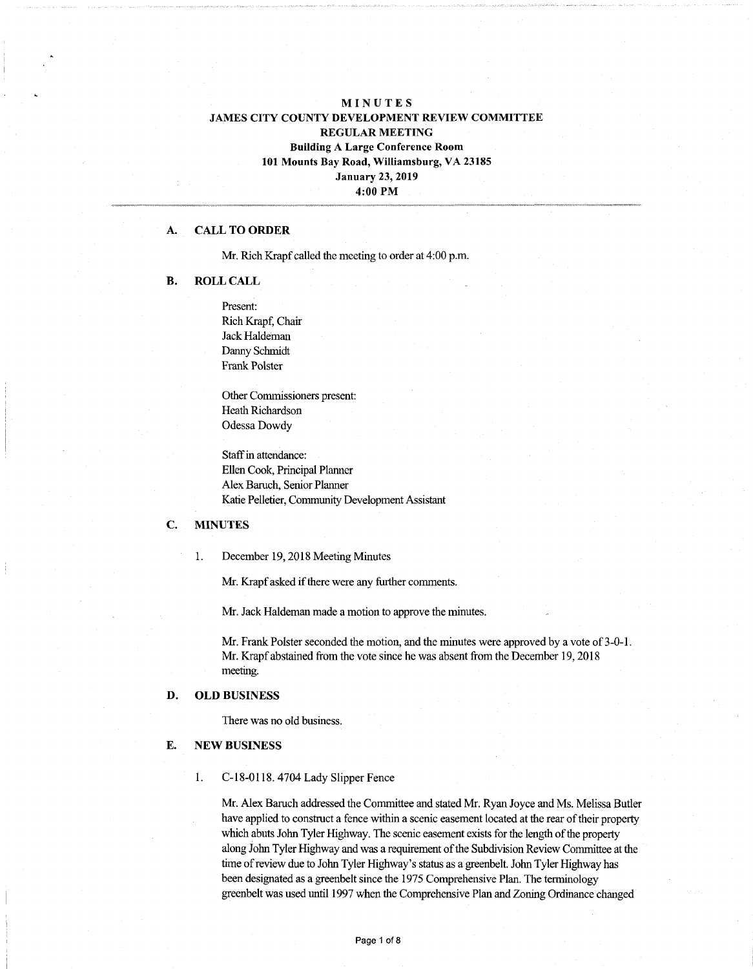# MINUTES JAMES CITY COUNTY DEVELOPMENT REVIEW COMMITTEE REGULAR MEETING Building A Large Conference Room 101 Mounts Bay Road, Williamsburg, VA 23185 January 23, 2019 4:00 PM

### A. CALL TO ORDER

Mr. Rich Krapf called the meeting to order at 4:00 p.m.

#### B. ROLL CALL

Present: Rich Krapf, Chair Jack Haldeman Danny Schmidt Frank Polster

Other Commissioners present: Heath Richardson Odessa Dowdy

Staff in attendance: Ellen Cook, Principal Planner Alex Baruch, Senior Planner Katie Pelletier, Community Development Assistant

# C. MINUTES

1. December 19,2018 Meeting Minutes

Mr. Krapf asked if there were any further comments.

Mr. Jack Haldeman made a motion to approve the minutes.

Mr. Frank Polster seconded the motion, and the minutes were approved by a vote of 3-0-1. Mr. Krapf abstained from the vote since he was absent from the December 19,2018 meeting.

## D. OLD BUSINESS

There was no old business.

#### E. NEW BUSINESS

1. C-18-0118.4704 Lady Slipper Fence

Mr. Alex Baruch addressed the Committee and stated Mr. Ryan Joyce and Ms. Melissa Butler have applied to construct a fence within a scenic easement located at the rear of their property which abuts John Tyler Highway. The scenic easement exists for the length of the property along John Tyler Highway and was a requirement of the Subdivision Review Committee at the time of review due to John Tyler Highway's status as a greenbelt. John Tyler Highway has been designated as a greenbelt since the 1975 Comprehensive Plan. The terminology greenbelt was used until 1997 when the Comprehensive Plan and Zoning Ordinance changed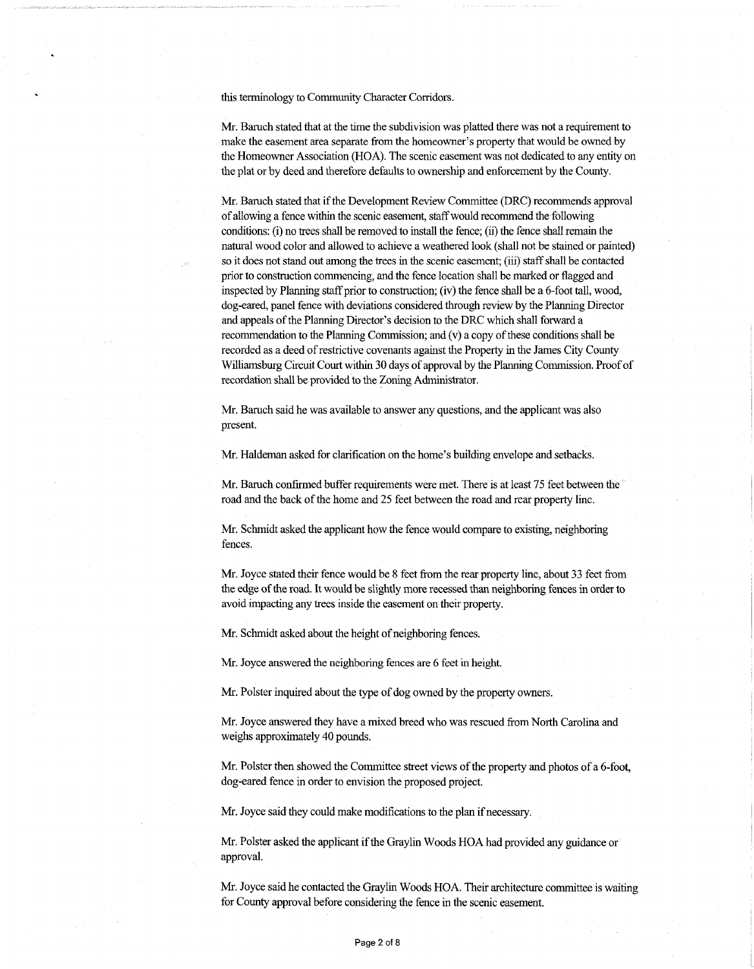this terminology to Community Character Corridors.

Mr. Baruch stated that at the time the subdivision was platted there was not a requirement to make the easement area separate from the homeowner's property that would be owned by the Homeowner Association (HOA). The scenic easement was not dedicated to any entity on the plat or by deed and therefore defaults to ownership and enforcement by the County.

Mr. Baruch stated that if the Development Review Committee (DRC) recommends approval ofallowing a fence within the scenic easement, staffwould recommend the following conditions: (i) no trees shall be removed to install the fence; (ii) the fence shall remain the natural wood color and allowed to achieve a weathered look (shall not be stained or painted) so it does not stand out among the trees in the scenic easement; (iii) staff shall be contacted prior to construction commencing, and the fence location shall be marked or flagged and inspected by Planning staff prior to construction; (iv) the fence shall be a  $6$ -foot tall, wood, dog-eared, panel fence with deviations considered through review by the Planning Director and appeals of the Planning Director's decision to the DRC which shall forward a recommendation to the Planning Commission; and  $(v)$  a copy of these conditions shall be recorded as a deed of restrictive covenants against the Property in the James City County Williamsburg Circuit Court within 30 days of approval by the Planning Commission. Proof of recordation shall be provided to the Zoning Administrator.

Mr. Baruch said he was available to answer any questions, and the applicant was also present.

Mr. Haldeman asked for clarification on the home's building envelope and setbacks.

Mr. Baruch confirmed buffer requirements were met. There is at least 75 feet between the road and the back of the home and 25 feet between the road and rear property line.

Mr. Schmidt asked the applicant how the fence would compare to existing, neighboring fences.

Mr. Joyce stated their fence would be 8 feet from the rear property line, about 33 feet from the edge of the road. It would be slightly more recessed than neighboring fences in order to avoid impacting any trees inside the easement on their property.

Mr. Schmidt asked about the height of neighboring fences.

Mr. Joyce answered the neighboring fences are 6 feet in height.

Mr. Polster inquired about the type of dog owned by the property owners.

Mr. Joyce answered they have a mixed breed who was rescued from North Carolina and weighs approximately 40 pounds.

Mr. Polster then showed the Committee street views of the property and photos of a 6-foot, dog-eared fence in order to envision die proposed project.

Mr. Joyce said they could make modifications to the plan if necessary.

Mr. Polster asked the applicant ifthe Graylin Woods HOA had provided any guidance or approval.

Mr. Joyce said he contacted the Graylin Woods HOA. Their architecture committee is waiting for County approval before considering the fence in the scenic easement.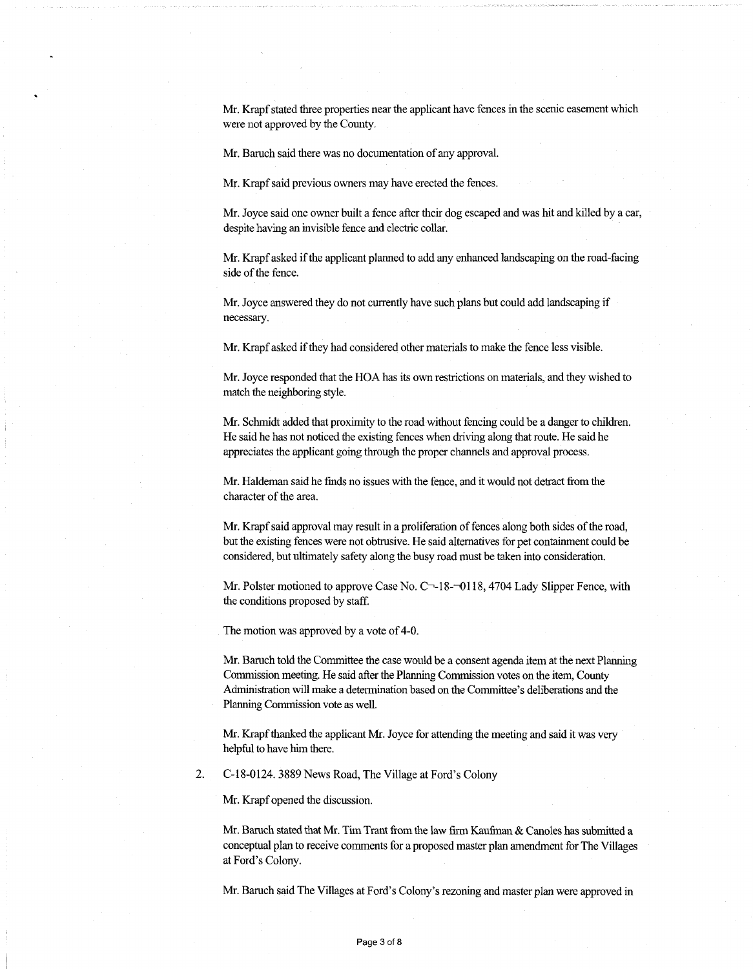Mr. Krapf stated three properties near the applicant have fences in the scenic easement which were not approved by the County.

Mr. Baruch said there was no documentation of any approval.

Mr. Krapf said previous owners may have erected the fences.

Mr. Joyce said one owner built a fence after their dog escaped and was hit and killed by a car, despite having an invisible fence and electric collar.

Mr. Krapfasked ifthe applicant planned to add any enhanced landscaping on the road-facing side of the fence.

Mr. Joyce answered they do not currently have such plans but could add landscaping if necessary.

Mr. Krapf asked if they had considered other materials to make the fence less visible.

Mr. Joyce responded that the HOA has its own restrictions on materials, and they wished to match the neighboring style.

Mr. Schmidt added that proximity to the road without fencing could be a danger to children. He said he has not noticed the existing fences when driving along that route. He said he appreciates the applicant going through the proper channels and approval process.

Mr. Haldeman said he finds no issues with the fence, and it would not detract fromthe character of the area.

Mr. Krapf said approval may result in a proliferation of fences along both sides of the road, but the existing fences were not obtrusive. He said alternatives for pet containment could be considered, but ultimately safety along the busy road must be taken into consideration.

Mr. Polster motioned to approve Case No.  $C<sub>-18</sub>-0118$ , 4704 Lady Slipper Fence, with the conditions proposed by staff.

The motion was approved by a vote of 4-0.

Mr. Baruch told the Committee the case would be a consent agenda item at the next Planning Commission meeting. He said after the Planning Commission votes on the item, County Administration will make a determination based on the Committee's deliberations and the Planning Commission vote as well.

Mr. Krapf thanked the applicant Mr. Joyce for attending the meeting and said it was very helpful to have him there.

2. C-18-0124. 3889 News Road, The Village at Ford's Colony

Mr. Krapf opened the discussion.

Mr. Baruch stated that Mr. Tim Trant fromthe law firm Kaufinan & Canoles has submitted a conceptual plan to receive comments for a proposed master plan amendment for The Villages at Ford's Colony.

Mr. Baruch said The Villages at Ford's Colony's rezoning and master plan were approved in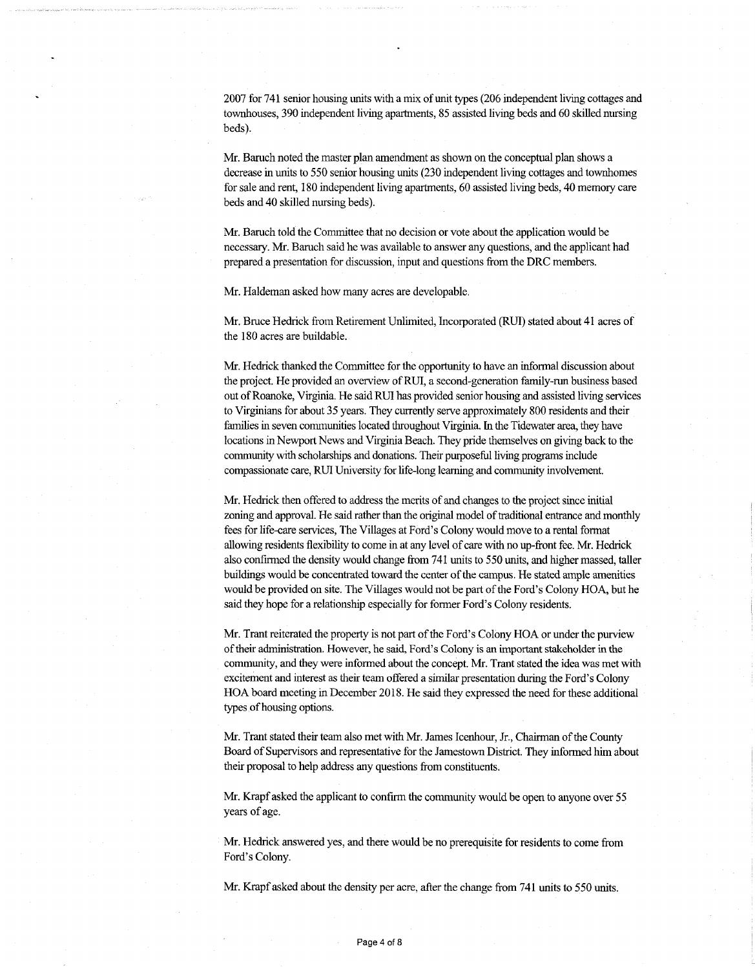2007 for 741 senior housing units with a mix of unit types (206 independent living cottages and townhouses, 390 independent living apartments, 85 assisted living beds and 60 skilled nursing beds).

Mr. Baruch noted the master plan amendment as shown on the conceptual plan shows a decrease in units to 550 senior housing units (230 independent living cottages and townhomes forsale and rent, 180 independent living apartments, 60 assisted living beds, 40 memory care beds and 40 skilled nursing beds).

Mr. Baruch told the Committee that no decision or vote about the application would be necessary. Mr. Baruch said he was available to answer any questions, and the applicant had prepared a presentation for discussion, input and questions from the DRC members.

Mr. Haldeman asked how many acres are developable.

Mr. Bmce Hedrick from Retirement Unlimited, Incorporated (RU1) stated about 41 acres of the 180 acres are buildable.

Mr. Hedrick thanked the Committee for the opportunity to have an informal discussion about the project. He provided an overview of RUI, a second-generation family-run business based out of Roanoke, Virginia. He said RUI has provided senior housing and assisted living services to Virginians for about 35 years. They currently serve approximately 800 residents and their families in seven communities located throughout Virginia. In the Tidewater area, they have locations in Newport News and Virginia Beach. They pride themselves on giving back to the community with scholarships and donations. Their purposeful living programs include compassionate care, RUI University for life-long learning and community involvement.

Mr. Hedrick then offered to address the merits of and changes to the project since initial zoning and approval. He said rather than the original model of traditional entrance and monthly fees for life-care services, The Villages at Ford's Colony would move to a rental format allowing residents flexibility to come in at any level of care with no up-front fee. Mr. Hedrick also confirmed the density would change from 741 units to 550 units, and higher massed, taller buildings would be concentrated toward the center of the campus. He stated ample amenities would be provided on site. The Villages would not be part of the Ford's Colony HOA, but he said they hope for a relationship especially for former Ford's Colony residents.

Mr. Trant reiterated the property is not part of the Ford's Colony HOA or under the purview of their administration. However, he said, Ford's Colony is an important stakeholder in the community, and they were informed about the concept. Mr. Trant stated the idea was met with excitement and interest as their team offered a similar presentation during the Ford's Colony HOA board meeting in December 2018. He said they expressed the need for these additional types of housing options.

Mr. Trant stated their team also met with Mr. James Icenhour, Jr., Chairman ofthe County Board of Supervisors and representative for the Jamestown District. They informed him about their proposal to help address any questions from constituents.

Mr. Krapf asked the applicant to confirm the community would be open to anyone over 55 years of age.

Mr. Hedrick answered yes, and there would be no prerequisite for residents to come from Ford's Colony.

Mr. Krapfasked about the density per acre, after the change from 741 units to 550 units.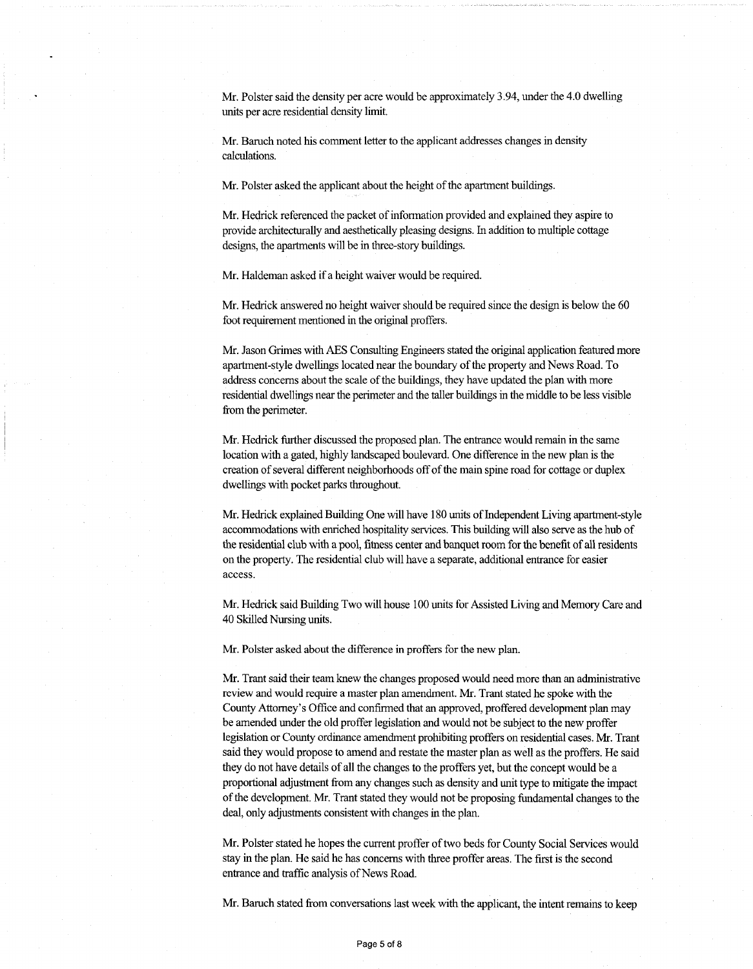Mr. Polster said the density per acre would be approximately 3.94, under the 4.0 dwelling units per acre residential density limit.

Mr. Baruch noted his comment letter to the applicant addresses changes in density calculations.

Mr. Polster asked the applicant about the height of the apartment buildings.

Mr. Hedrick referenced the packet of information provided and explained they aspire to provide architecturally and aesthetically pleasing designs. In addition to multiple cottage designs, the apartments will be in three-story buildings.

Mr. Haldeman asked if a height waiver would be required.

Mr. Hedrick answered no height waiver should be required since the design is below the 60 foot requirement mentioned in the original proffers.

Mr. Jason Grimes with AES Consulting Engineers stated the original application featuredmore apartment-style dwellings located nearthe boundary ofthe property and News Road. To address concerns about the scale of the buildings, they have updated the plan with more residential dwellings nearthe perimeter and the taller buildings in the middle to be less visible from the perimeter.

Mr. Hedrick further discussed the proposed plan. The entrance would remain in the same location with a gated, highly landscaped boulevard. One difference in the new plan is the creation of several different neighborhoods off of the main spine road for cottage or duplex dwellings with pocket parks throughout.

Mr. Hedrick explained Building One will have 180 units of Independent Living apartment-style accommodations with enriched hospitality services. This building will also serve as the hub of the residential club with a pool, fitness center and banquet room forthe benefit of all residents on the property. The residential club will have a separate, additional entrance for easier access.

Mr. Hedrick said Building Two will house 100 units for Assisted Living and Memory Care and 40 Skilled Nursing units.

Mr. Polster asked about the difference in proffers for the new plan.

Mr. Trant said their team knew the changes proposed would need more than an administrative review and would require a master plan amendment. Mr. Trant stated he spoke with the County Attorney's Office and confirmed that an approved, proffered development plan may be amended under the old proffer legislation and would not be subject to the new proffer legislation or County ordinance amendment prohibiting proffers on residential cases. Mr. Trant said they would propose to amend and restate the master plan as well as the proffers. He said they do not have details of all the changes to the proffers yet, but the concept would be a proportional adjustment from any changes such as density and unittype to mitigate the impact of the development. Mr. Trant stated they would not be proposing fundamental changes to the deal, only adjustments consistent with changes in the plan.

Mr. Polster stated he hopes the current proffer of two beds for County Social Services would stay in the plan. He said he has concerns with three proffer areas. The first is the second entrance and traffic analysis of News Road.

Mr. Baruch stated from conversations last week with the applicant, the intent remains to keep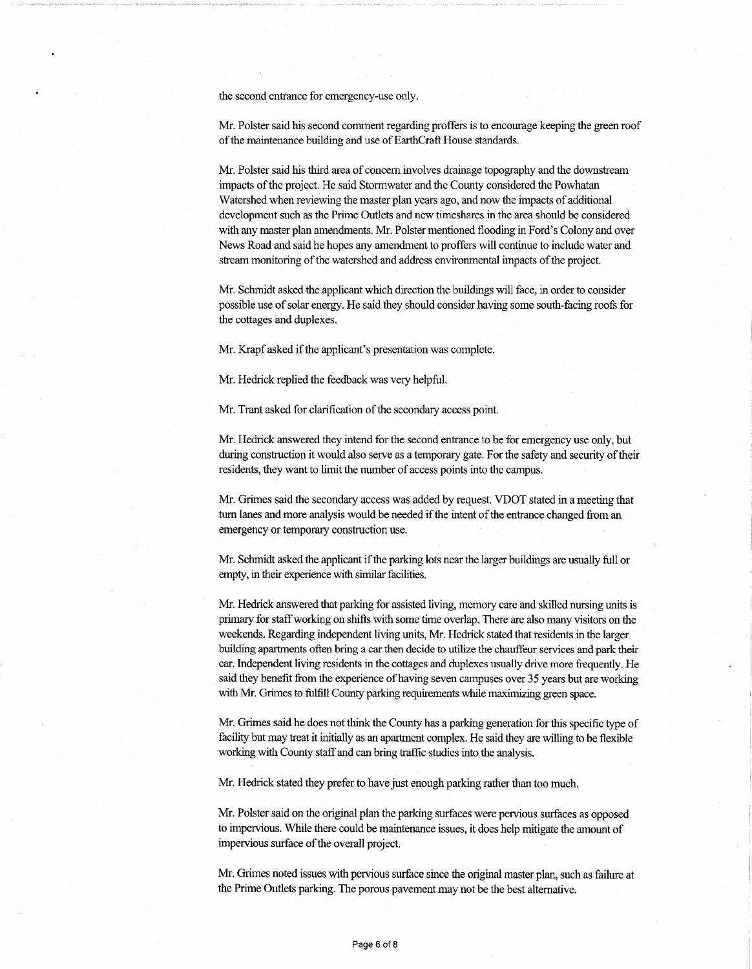the second entrance for emergency-use only.

Mr. Polster said his second comment regarding proffers is to encourage keeping the green roof of the maintenance building and use of EarthCraft House standards.

Mr. Polster said his third area of concern involves drainage topography and the downstream impacts of the project. He said Stormwater and the County considered the Powhatan Watershed when reviewing the master plan years ago, and now the impacts of additional development such as the Prime Outlets and new timeshares in the area should be considered with any master plan amendments. Mr. Polster mentioned flooding in Ford's Colony and over News Road and said he hopes any amendmentto proffers will continue to include water and stream monitoring of the watershed and address environmental impacts of the project.

Mr. Schmidt asked the applicant which direction the buildings will face, in order to consider possible use ofsolar energy. He said they should consider having some south-facing roofs for the cottages and duplexes.

Mr. Krapf asked if the applicant's presentation was complete.

Mr. Hedrick replied the feedback was very helpful.

Mr. Trant asked for clarification of the secondary access point.

Mr. Hedrick answered they intend for the second entrance to be for emergency use only, but during construction it would also serve as a temporary gate. For the safety and security of their residents, they want to limit the number of access points into the campus.

Mr. Grimes said the secondary access was added by request. VDOT stated in a meeting that turn lanes and more analysis would be needed if the intent of the entrance changed from an emergency or temporary construction use.

Mr. Schmidt asked the applicant if the parking lots near the larger buildings are usually full or empty, in their experience with similar facilities.

Mr. Hedrick answered that parking for assisted living, memory care and skilled nursing units is primary for staff working on shifts with some time overlap. There are also many visitors on the weekends. Regarding independent living units, Mr. Hedrick stated that residents in the larger building apartments often bring a carthen decide to utilize the chauffeur services and park their car. Independent living residents in the cottages and duplexes usually drive more frequently. He said they benefit from the experience of having seven campuses over 35 years but are working with Mr. Grimes to fulfill County parking requirements while maximizing green space.

Mr. Grimes said he does notthink the County has a parking generation for this specific type of facility but may treat it initially as an apartment complex. He said they are willing to be flexible working with County staffand can bring traffic studies into the analysis.

Mr. Hedrick stated they prefer to have just enough parking rather than too much.

Mr. Polster said on the original plan the parking surfaces were pervious surfaces as opposed to impervious. While there could be maintenance issues, it does help mitigate the amount of impervious surface of the overall project.

Mr. Grimes noted issues with pervious surface since the original master plan, such as failure at the Prime Outlets parking. The porous pavement may not be the best alternative.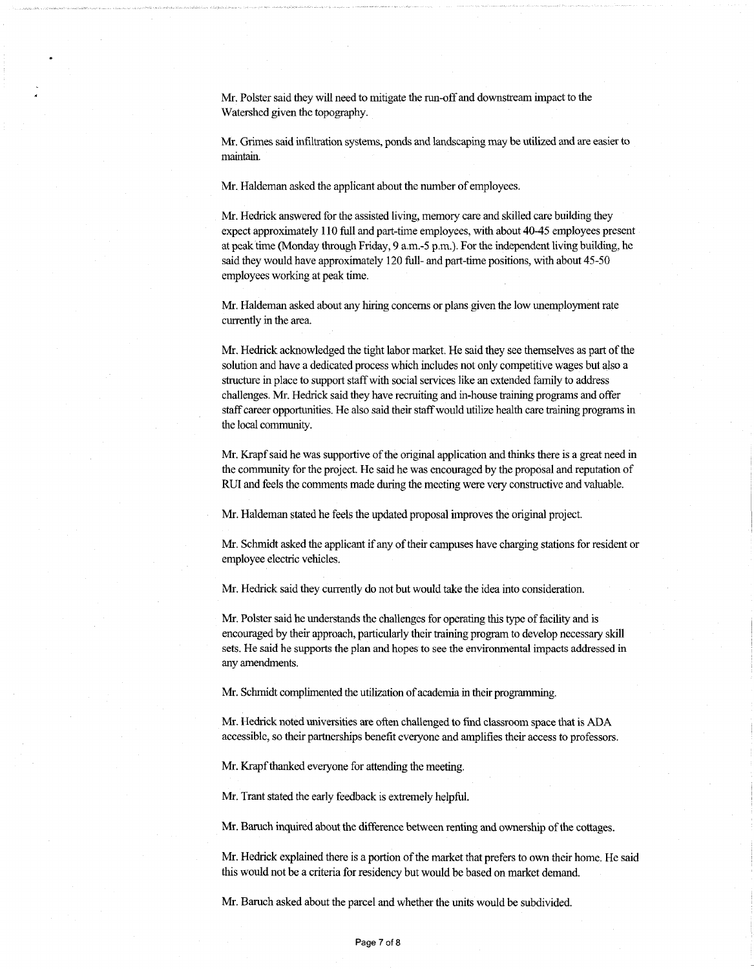Mr. Polster said they will need to mitigate the run-off and downstream impact to the Watershed given the topography.

Mr. Grimes said infiltration systems, ponds and landscaping may be utilized and are easier to maintain.

Mr. Haldeman asked the applicant about the number of employees.

Mr. Hedrick answered for the assisted living, memory care and skilled care building they expect approximately 110 full and part-time employees, with about 40-45 employees present at peak time (Monday through Friday,  $9 \text{ a.m.-5 p.m.}$ ). For the independent living building, he said they would have approximately 120 full- and part-time positions, with about 45-50 employees working at peak time.

Mr. Haldeman asked about any hiring concerns or plans given the low unemployment rate currently in the area.

Mr. Hedrick acknowledged the tight labor market. He said they see themselves as part of the solution and have a dedicated process which includes not only competitive wages but also a structure in place to support staff with social services like an extended family to address challenges. Mr. Hedrick said they have recruiting and in-house training programs and offer staffcareer opportunities. He also said their staffwould utilize health care training programs in the local community.

Mr. Krapf said he was supportive of the original application and thinks there is a great need in the community for the project. He said he was encouraged by the proposal and reputation of RUI and feels the comments made during the meeting were very constructive and valuable.

Mr. Haldeman stated he feels the updated proposal improves the original project.

Mr. Schmidt asked the applicant if any of their campuses have charging stations for resident or employee electric vehicles.

Mr. Hedrick said they currently do not but would take the idea into consideration.

Mr. Polster said he understands the challenges for operating this type of facility and is encouraged by their approach, particularly their training program to develop necessary skill sets. He said he supports the plan and hopes to see the environmental impacts addressed in any amendments.

Mr. Schmidt complimented the utilization of academia in their programming.

Mr. Hedrick noted universities are often challenged to find classroom space that is ADA accessible, so their partnerships benefit everyone and amplifies their access to professors.

Mr. Krapf thanked everyone for attending the meeting.

Mr. Trant stated the early feedback is extremely helpful.

Mr. Baruch inquired about the difference between renting and ownership of the cottages.

Mr. Hedrick explained there is a portion of the market that prefers to own their home. He said this would not be a criteria for residency but would be based on market demand.

Mr. Baruch asked about the parcel and whether the units would be subdivided.